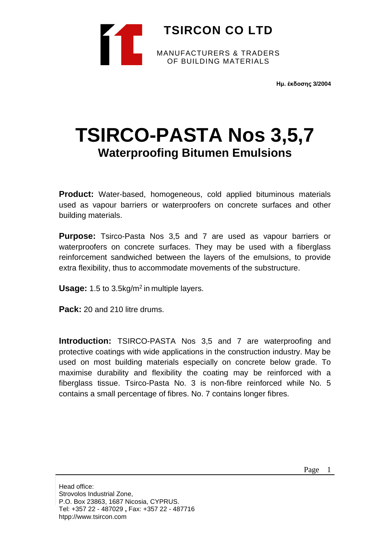

**Ημ. έκδοσης 3/2004**

# **TSIRCO-PASTA Nos 3,5,7 Waterproofing Bitumen Emulsions**

**Product:** Water-based, homogeneous, cold applied bituminous materials used as vapour barriers or waterproofers on concrete surfaces and other building materials.

**Purpose:** Tsirco-Pasta Nos 3,5 and 7 are used as vapour barriers or waterproofers on concrete surfaces. They may be used with a fiberglass reinforcement sandwiched between the layers of the emulsions, to provide extra flexibility, thus to accommodate movements of the substructure.

**Usage:** 1.5 to 3.5kg/m<sup>2</sup> in multiple layers.

**Pack:** 20 and 210 litre drums.

**Introduction:** TSIRCO-PASTA Nos 3,5 and 7 are waterproofing and protective coatings with wide applications in the construction industry. May be used on most building materials especially on concrete below grade. To maximise durability and flexibility the coating may be reinforced with a fiberglass tissue. Tsirco-Pasta No. 3 is non-fibre reinforced while No. 5 contains a small percentage of fibres. No. 7 contains longer fibres.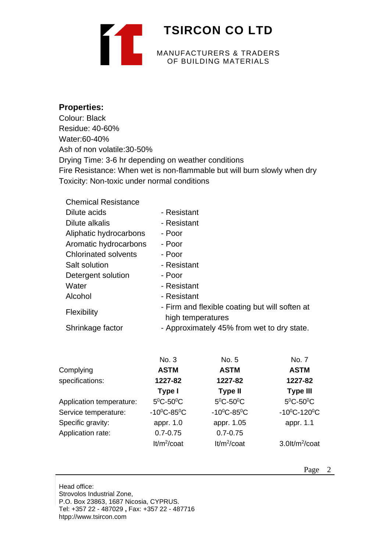

### **Properties:**

Colour: Black Residue: 40-60% Water:60-40% Ash of non volatile:30-50% Drying Time: 3-6 hr depending on weather conditions Fire Resistance: When wet is non-flammable but will burn slowly when dry Toxicity: Non-toxic under normal conditions

| <b>Chemical Resistance</b>  |                                                                     |
|-----------------------------|---------------------------------------------------------------------|
| Dilute acids                | - Resistant                                                         |
| Dilute alkalis              | - Resistant                                                         |
| Aliphatic hydrocarbons      | - Poor                                                              |
| Aromatic hydrocarbons       | - Poor                                                              |
| <b>Chlorinated solvents</b> | - Poor                                                              |
| Salt solution               | - Resistant                                                         |
| Detergent solution          | - Poor                                                              |
| Water                       | - Resistant                                                         |
| Alcohol                     | - Resistant                                                         |
| <b>Flexibility</b>          | - Firm and flexible coating but will soften at<br>high temperatures |
| Shrinkage factor            | - Approximately 45% from wet to dry state.                          |

|                          | No. 3                           | No. 5                           | No. 7                      |
|--------------------------|---------------------------------|---------------------------------|----------------------------|
| Complying                | <b>ASTM</b>                     | <b>ASTM</b>                     | <b>ASTM</b>                |
| specifications:          | 1227-82                         | 1227-82                         | 1227-82                    |
|                          | Type I                          | <b>Type II</b>                  | <b>Type III</b>            |
| Application temperature: | $5^{\circ}$ C-50 $^{\circ}$ C   | $5^0C - 50^0C$                  | $5^0C - 50^0C$             |
| Service temperature:     | $-10^{\circ}$ C $-85^{\circ}$ C | $-10^{\circ}$ C $-85^{\circ}$ C | $-10^0C - 120^0C$          |
| Specific gravity:        | appr. 1.0                       | appr. 1.05                      | appr. 1.1                  |
| Application rate:        | $0.7 - 0.75$                    | $0.7 - 0.75$                    |                            |
|                          | $lt/m^2$ /coat                  | $lt/m^2$ /coat                  | 3.0lt/m <sup>2</sup> /coat |

Head office: Strovolos Industrial Zone, P.O. Box 23863, 1687 Nicosia, CYPRUS. Tel: +357 22 - 487029 **,** Fax: +357 22 - 487716 htpp://www.tsircon.com

Page 2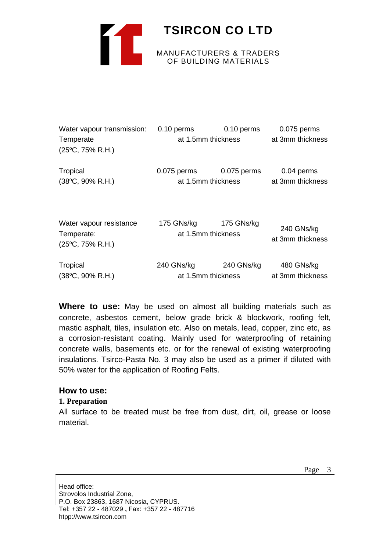

| Water vapour transmission:               | $0.10$ perms       | 0.10 perms       | 0.075 perms      |
|------------------------------------------|--------------------|------------------|------------------|
| Temperate                                | at 1.5mm thickness |                  | at 3mm thickness |
| $(25^{\circ}C, 75\% R.H.)$               |                    |                  |                  |
| Tropical                                 | $0.075$ perms      | 0.075 perms      | 0.04 perms       |
| $(38^{\circ}C, 90\% R.H.)$               | at 1.5mm thickness | at 3mm thickness |                  |
| Water vapour resistance                  | 175 GNs/kg         | 175 GNs/kg       | 240 GNs/kg       |
| Temperate:<br>$(25^{\circ}C, 75\% R.H.)$ | at 1.5mm thickness |                  | at 3mm thickness |
| Tropical                                 | 240 GNs/kg         | 240 GNs/kg       | 480 GNs/kg       |
| (38°C, 90% R.H.)                         | at 1.5mm thickness |                  | at 3mm thickness |

**Where to use:** May be used on almost all building materials such as concrete, asbestos cement, below grade brick & blockwork, roofing felt, mastic asphalt, tiles, insulation etc. Also on metals, lead, copper, zinc etc, as a corrosion-resistant coating. Mainly used for waterproofing of retaining concrete walls, basements etc. or for the renewal of existing waterproofing insulations. Tsirco-Pasta No. 3 may also be used as a primer if diluted with 50% water for the application of Roofing Felts.

### **How to use:**

### **1. Preparation**

All surface to be treated must be free from dust, dirt, oil, grease or loose material.

Head office: Strovolos Industrial Zone, P.O. Box 23863, 1687 Nicosia, CYPRUS. Tel: +357 22 - 487029 **,** Fax: +357 22 - 487716 htpp://www.tsircon.com